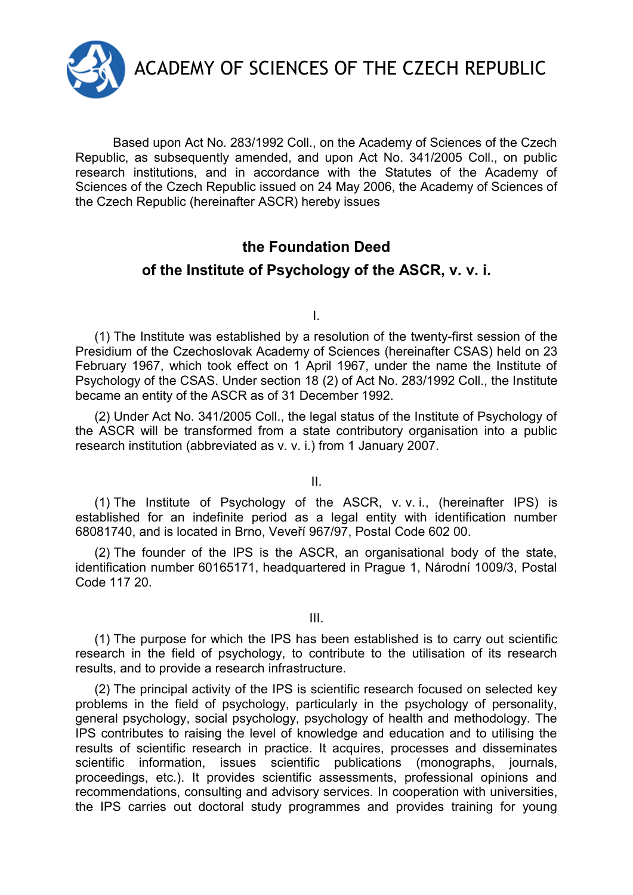

Based upon Act No. 283/1992 Coll., on the Academy of Sciences of the Czech Republic, as subsequently amended, and upon Act No. 341/2005 Coll., on public research institutions, and in accordance with the Statutes of the Academy of Sciences of the Czech Republic issued on 24 May 2006, the Academy of Sciences of the Czech Republic (hereinafter ASCR) hereby issues

## **the Foundation Deed**

## **of the Institute of Psychology of the ASCR, v. v. i.**

I.

(1) The Institute was established by a resolution of the twenty-first session of the Presidium of the Czechoslovak Academy of Sciences (hereinafter CSAS) held on 23 February 1967, which took effect on 1 April 1967, under the name the Institute of Psychology of the CSAS. Under section 18 (2) of Act No. 283/1992 Coll., the Institute became an entity of the ASCR as of 31 December 1992.

(2) Under Act No. 341/2005 Coll., the legal status of the Institute of Psychology of the ASCR will be transformed from a state contributory organisation into a public research institution (abbreviated as v. v. i.) from 1 January 2007.

II.

(1) The Institute of Psychology of the ASCR, v. v. i., (hereinafter IPS) is established for an indefinite period as a legal entity with identification number 68081740, and is located in Brno, Veveří 967/97, Postal Code 602 00.

(2) The founder of the IPS is the ASCR, an organisational body of the state, identification number 60165171, headquartered in Prague 1, Národní 1009/3, Postal Code 117 20.

III.

(1) The purpose for which the IPS has been established is to carry out scientific research in the field of psychology, to contribute to the utilisation of its research results, and to provide a research infrastructure.

(2) The principal activity of the IPS is scientific research focused on selected key problems in the field of psychology, particularly in the psychology of personality, general psychology, social psychology, psychology of health and methodology. The IPS contributes to raising the level of knowledge and education and to utilising the results of scientific research in practice. It acquires, processes and disseminates scientific information, issues scientific publications (monographs, journals, proceedings, etc.). It provides scientific assessments, professional opinions and recommendations, consulting and advisory services. In cooperation with universities, the IPS carries out doctoral study programmes and provides training for young